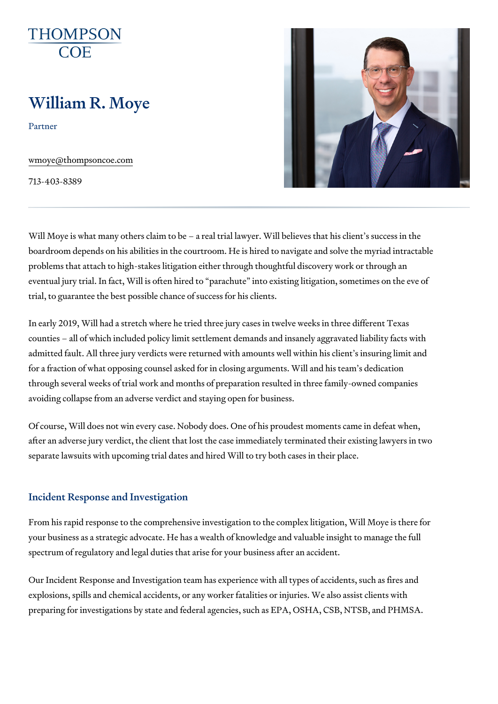# William R. Moye

Partner

[wmoye@thompso](mailto:wmoye@thompsoncoe.com)ncoe.com

713-403-8389

Will Moye is what many others claim to be a real trial lawyer. Will believ boardroom depends on his abilities in the courtroom. He is hired to naviga problems that attach to high-stakes litigation either through thoughtful dis eventual jury trial. In fact, Will is often hired to parachute into existing trial, to guarantee the best possible chance of success for his clients.

In early 2019, Will had a stretch where he tried three jury cases in twelve counties all of which included policy limit settlement demands and insane admitted fault. All three jury verdicts were returned with amounts well with for a fraction of what opposing counsel asked for in closing arguments. Wi through several weeks of trial work and months of preparation resulted in avoiding collapse from an adverse verdict and staying open for business.

Of course, Will does not win every case. Nobody does. One of his proudest after an adverse jury verdict, the client that lost the case immediately term separate lawsuits with upcoming trial dates and hired Will to try both case

#### Incident Response and Investigation

From his rapid response to the comprehensive investigation to the complex your business as a strategic advocate. He has a wealth of knowledge and v spectrum of regulatory and legal duties that arise for your business after a

Our Incident Response and Investigation team has experience with all type explosions, spills and chemical accidents, or any worker fatalities or injur preparing for investigations by state and federal agencies, such as EPA, C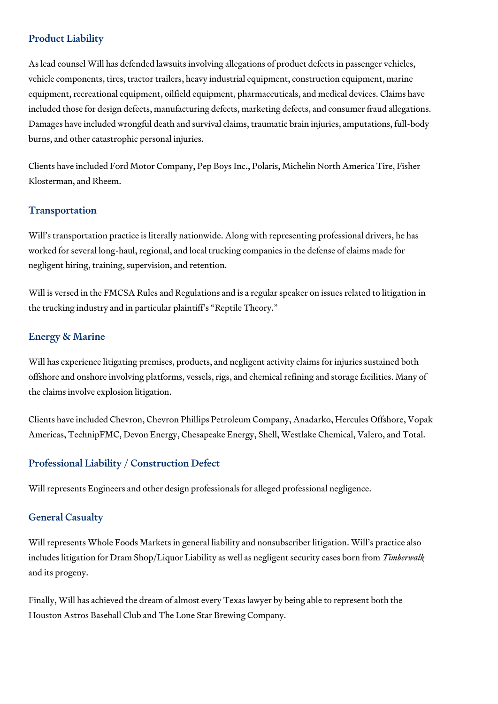### Product Liability

As lead counsel Will has defended lawsuits involving allegations of product defects in passenger vehicles, vehicle components, tires, tractor trailers, heavy industrial equipment, construction equipment, marine equipment, recreational equipment, oilfield equipment, pharmaceuticals, and medical devices. Claims have included those for design defects, manufacturing defects, marketing defects, and consumer fraud allegations. Damages have included wrongful death and survival claims, traumatic brain injuries, amputations, full-body burns, and other catastrophic personal injuries.

Clients have included Ford Motor Company, Pep Boys Inc., Polaris, Michelin North America Tire, Fisher Klosterman, and Rheem.

### Transportation

Will's transportation practice is literally nationwide. Along with representing professional drivers, he has worked for several long-haul, regional, and local trucking companies in the defense of claims made for negligent hiring, training, supervision, and retention.

Will is versed in the FMCSA Rules and Regulations and is a regular speaker on issues related to litigation in the trucking industry and in particular plaintiff's "Reptile Theory."

### Energy & Marine

Will has experience litigating premises, products, and negligent activity claims for injuries sustained both offshore and onshore involving platforms, vessels, rigs, and chemical refining and storage facilities. Many of the claims involve explosion litigation.

Clients have included Chevron, Chevron Phillips Petroleum Company, Anadarko, Hercules Offshore, Vopak Americas, TechnipFMC, Devon Energy, Chesapeake Energy, Shell, Westlake Chemical, Valero, and Total.

### Professional Liability / Construction Defect

Will represents Engineers and other design professionals for alleged professional negligence.

### General Casualty

Will represents Whole Foods Markets in general liability and nonsubscriber litigation. Will's practice also includes litigation for Dram Shop/Liquor Liability as well as negligent security cases born from *Timberwalk* and its progeny.

Finally, Will has achieved the dream of almost every Texas lawyer by being able to represent both the Houston Astros Baseball Club and The Lone Star Brewing Company.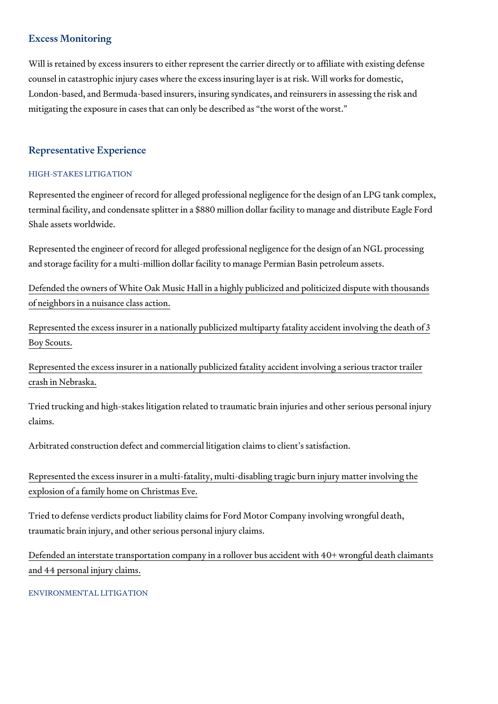#### Excess Monitoring

Will is retained by excess insurers to either represent the carrier directly counsel in catastrophic injury cases where the excess insuring layer is at London-based, and Bermuda-based insurers, insuring syndicates, and reins mitigating the exposure in cases that can only be described as the worst.

#### Representative Experience

#### HIGH-STAKES LITIGATION

Represented the engineer of record for alleged professional negligence for terminal facility, and condensate splitter in a \$880 million dollar facility to Shale assets worldwide.

Represented the engineer of record for alleged professional negligence for and storage facility for a multi-million dollar facility to manage Permian B

[Defended the owners of White Oak Music Hall in a highly public](https://www.chron.com/news/houston-texas/houston/article/White-Oak-Music-Hall-noise-lawsuit-settlement-2018-12860229.php)ized and po [of neighbors in a nuisa](https://www.chron.com/news/houston-texas/houston/article/White-Oak-Music-Hall-noise-lawsuit-settlement-2018-12860229.php)nce class action.

[Represented the excess insurer in a nationally publicized multip](https://www.dallasnews.com/news/2017/08/07/3rd-boy-scout-dies-after-sailboat-strikes-power-lines-in-east-texas/)arty fatali [Boy Sc](https://www.dallasnews.com/news/2017/08/07/3rd-boy-scout-dies-after-sailboat-strikes-power-lines-in-east-texas/)outs.

[Represented the excess insurer in a nationally publicized fatal](https://omaha.com/eedition/sunrise/articles/lawsuit-filed-in-i--wreck-that-killed-family/article_efe5bd5c-8e92-54e1-b688-a7a02ff87a67.html)ity accident [crash in Ne](https://omaha.com/eedition/sunrise/articles/lawsuit-filed-in-i--wreck-that-killed-family/article_efe5bd5c-8e92-54e1-b688-a7a02ff87a67.html)braska.

Tried trucking and high-stakes litigation related to traumatic brain injuries claims.

Arbitrated construction defect and commercial litigation claims to client s

[Represented the excess insurer in a multi-fatality, multi-disab](https://www.valleycentral.com/news/local-news/family-claims-negligence-files-500-million-lawsuit-after-fatal-house-fire/)ling tragic b [explosion of a family home](https://www.valleycentral.com/news/local-news/family-claims-negligence-files-500-million-lawsuit-after-fatal-house-fire/) on Christmas Eve.

Tried to defense verdicts product liability claims for Ford Motor Company i traumatic brain injury, and other serious personal injury claims.

[Defended an interstate transportation company in a rollover bus](https://www.nbcnews.com/news/us-news/8-dead-44-injured-bus-rollover-texas-n574196) accident v [and 44 personal in](https://www.nbcnews.com/news/us-news/8-dead-44-injured-bus-rollover-texas-n574196)jury claims.

#### ENVIRONMENTAL LITIGATION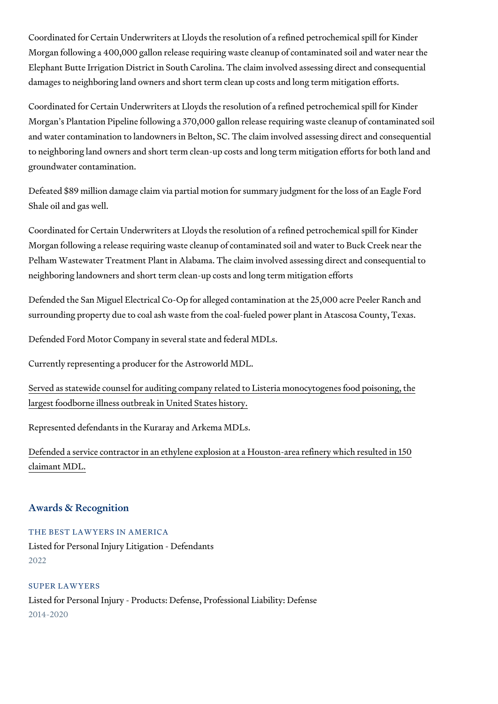Coordinated for Certain Underwriters at Lloyds the resolution of a refined Morgan following a 400,000 gallon release requiring waste cleanup of cont Elephant Butte Irrigation District in South Carolina. The claim involved as damages to neighboring land owners and short term clean up costs and lon

Coordinated for Certain Underwriters at Lloyds the resolution of a refined Morgan s Plantation Pipeline following a 370,000 gallon release requiring and water contamination to landowners in Belton, SC. The claim involved a to neighboring land owners and short term clean-up costs and long term mi groundwater contamination.

Defeated \$89 million damage claim via partial motion for summary judgmen Shale oil and gas well.

Coordinated for Certain Underwriters at Lloyds the resolution of a refined Morgan following a release requiring waste cleanup of contaminated soil a Pelham Wastewater Treatment Plant in Alabama. The claim involved assess neighboring landowners and short term clean-up costs and long term mitigation efforts and long term mitigation efforts and shorts and shorts and shorts and shorts and shorts and shorts and shorts and shorts and shorts and

Defended the San Miguel Electrical Co-Op for alleged contamination at the surrounding property due to coal ash waste from the coal-fueled power pla

Defended Ford Motor Company in several state and federal MDLs.

Currently representing a producer for the Astroworld MDL.

[Served as statewide counsel for auditing company related to L](https://en.wikipedia.org/wiki/2011_United_States_listeriosis_outbreak)isteria mono [largest foodborne illness outbreak](https://en.wikipedia.org/wiki/2011_United_States_listeriosis_outbreak) in United States history.

Represented defendants in the Kuraray and Arkema MDLs.

[Defended a service contractor in an ethylene explosion at a H](https://www.houstonchronicle.com/business/article/Chemical-Safety-Board-OSHA-investigate-Kuraray-12932477.php)ouston-area [claimant](https://www.houstonchronicle.com/business/article/Chemical-Safety-Board-OSHA-investigate-Kuraray-12932477.php) MDL.

#### Awards & Recognition

THE BEST LAWYERS IN AMERICA Listed for Personal Injury Litigation - Defendants 2022

SUPER LAWYERS Listed for Personal Injury - Products: Defense, Professional Liability: Defe 2014-2020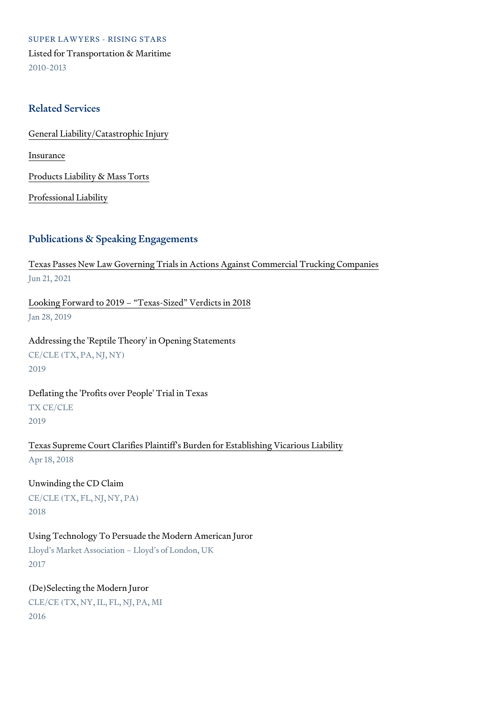SUPER LAWYERS - RISING STARS Listed for Transportation & Maritime 2010-2013

#### Related Services

[General Liability/Catas](https://www.thompsoncoe.com/people/william-r-moye/)trophic Injury

[Insura](https://www.thompsoncoe.com/people/william-r-moye/)nce

[Products Liability &](https://www.thompsoncoe.com/people/william-r-moye/) Mass Torts

[Professional](https://www.thompsoncoe.com/people/william-r-moye/) Liability

#### Publications & Speaking Engagements

[Texas Passes New Law Governing Trials in Actions Agai](https://www.thompsoncoe.com/resources/publications/texas-passes-new-law-governing-trials-in-actions-against-commercial-trucking-companies/)nst Commercial Trucking Companies Jun 21, 2021

[Looking Forward to 2019 Texas-S](https://www.thompsoncoe.com/resources/publications/looking-forward-to-2019-texas-sized-verdicts-in-2018/)ized Verdicts in 2018 Jan 28, 2019

Addressing the 'Reptile Theory' in Opening Statements CE/CLE (TX, PA, NJ, NY) 2019

Deflating the 'Profits over People' Trial in Texas TX CE/CLE 2019

[Texas Supreme Court Clarifies Plaintiff s Burden f](https://www.thompsoncoe.com/resources/publications/texas-supreme-court-clarifies-plaintiffs-burden-for-establishing-vicarious-liability/)or Establishing Vicariou Apr 18, 2018

Unwinding the CD Claim CE/CLE (TX, FL, NJ, NY, PA) 2018

Using Technology To Persuade the Modern American Juror Lloyd s Market Association Lloyd s of London, UK 2017

(De)Selecting the Modern Juror CLE/CE (TX, NY, IL, FL, NJ, PA, MI 2016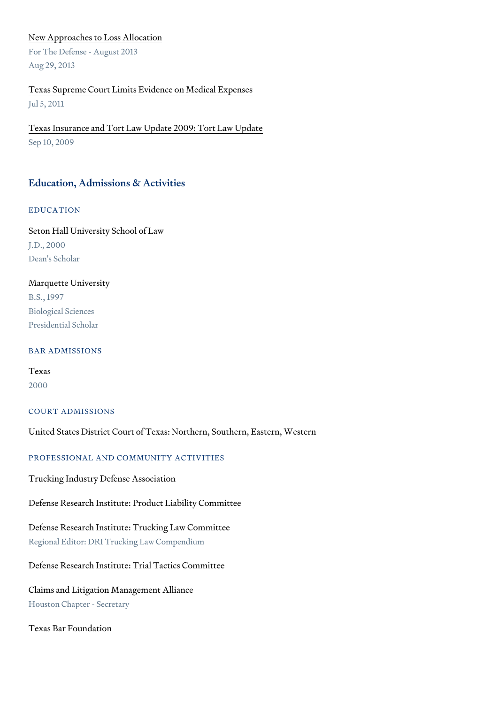#### [New Approaches to Lo](https://www.thompsoncoe.com/resources/publications/new-approaches-to-loss-allocation/)ss Allocation

For The Defense - August 2013 Aug 29, 2013

### [Texas Supreme Court Limits Evidenc](https://www.thompsoncoe.com/resources/publications/texas-supreme-court-limits-evidence-on-medical-expenses/)e on Medical Expenses Jul 5, 2011

[Texas Insurance and Tort Law Update](https://www.thompsoncoe.com/resources/publications/texas-insurance-and-tort-law-update-2009-tort-law-update/) 2009: Tort Law Update Sep 10, 2009

#### Education, Admissions & Activities

#### EDUCATION

Seton Hall University School of Law J.D., 2000 Dean's Scholar

#### Marquette University

B.S., 1997 Biological Sciences Presidential Scholar

#### BAR ADMISSIONS

Texas 2000

#### COURT ADMISSIONS

United States District Court of Texas: Northern, Southern, Eastern, Wester

#### PROFESSIONAL AND COMMUNITY ACTIVITIES

Trucking Industry Defense Association

#### Defense Research Institute: Product Liability Committee

Defense Research Institute: Trucking Law Committee Regional Editor: DRI Trucking Law Compendium

Defense Research Institute: Trial Tactics Committee

Claims and Litigation Management Alliance Houston Chapter - Secretary

Texas Bar Foundation